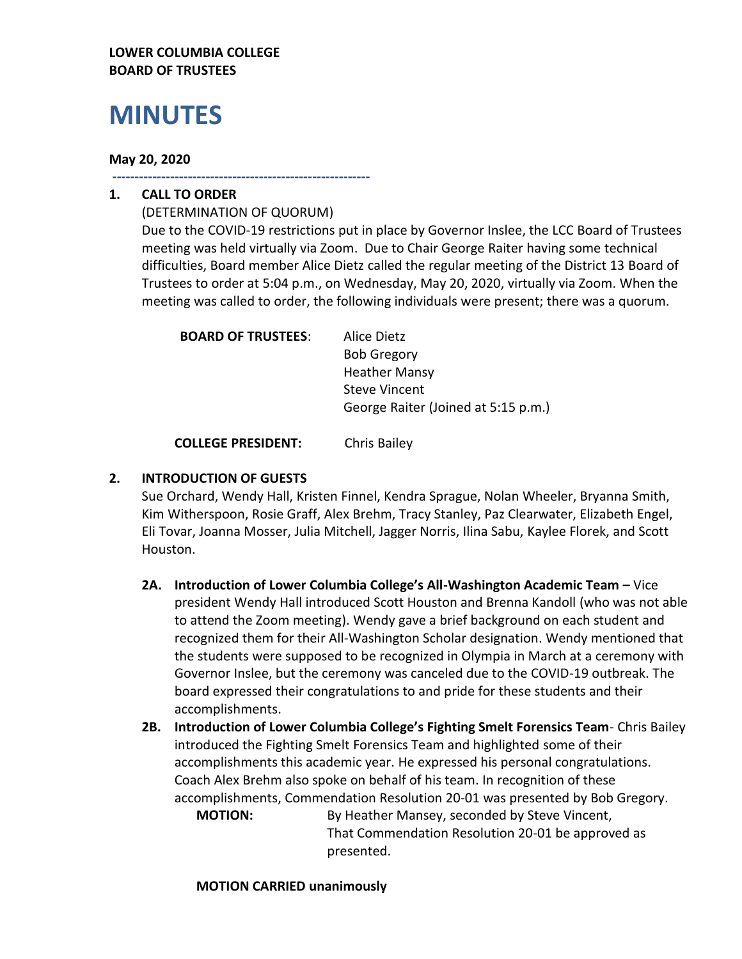## **LOWER COLUMBIA COLLEGE BOARD OF TRUSTEES**

# **MINUTES**

#### **May 20, 2020**

**----------------------------------------------------------**

# **1. CALL TO ORDER**

(DETERMINATION OF QUORUM) Due to the COVID-19 restrictions put in place by Governor Inslee, the LCC Board of Trustees meeting was held virtually via Zoom. Due to Chair George Raiter having some technical difficulties, Board member Alice Dietz called the regular meeting of the District 13 Board of Trustees to order at 5:04 p.m., on Wednesday, May 20, 2020, virtually via Zoom. When the meeting was called to order, the following individuals were present; there was a quorum.

| <b>BOARD OF TRUSTEES:</b> | Alice Dietz                         |
|---------------------------|-------------------------------------|
|                           | <b>Bob Gregory</b>                  |
|                           | <b>Heather Mansy</b>                |
|                           | <b>Steve Vincent</b>                |
|                           | George Raiter (Joined at 5:15 p.m.) |
|                           |                                     |

**COLLEGE PRESIDENT:** Chris Bailey

# **2. INTRODUCTION OF GUESTS**

Sue Orchard, Wendy Hall, Kristen Finnel, Kendra Sprague, Nolan Wheeler, Bryanna Smith, Kim Witherspoon, Rosie Graff, Alex Brehm, Tracy Stanley, Paz Clearwater, Elizabeth Engel, Eli Tovar, Joanna Mosser, Julia Mitchell, Jagger Norris, Ilina Sabu, Kaylee Florek, and Scott Houston.

- **2A. Introduction of Lower Columbia College's All-Washington Academic Team –** Vice president Wendy Hall introduced Scott Houston and Brenna Kandoll (who was not able to attend the Zoom meeting). Wendy gave a brief background on each student and recognized them for their All-Washington Scholar designation. Wendy mentioned that the students were supposed to be recognized in Olympia in March at a ceremony with Governor Inslee, but the ceremony was canceled due to the COVID-19 outbreak. The board expressed their congratulations to and pride for these students and their accomplishments.
- **2B. Introduction of Lower Columbia College's Fighting Smelt Forensics Team** Chris Bailey introduced the Fighting Smelt Forensics Team and highlighted some of their accomplishments this academic year. He expressed his personal congratulations. Coach Alex Brehm also spoke on behalf of his team. In recognition of these accomplishments, Commendation Resolution 20-01 was presented by Bob Gregory.

**MOTION:** By Heather Mansey, seconded by Steve Vincent, That Commendation Resolution 20-01 be approved as presented.

#### **MOTION CARRIED unanimously**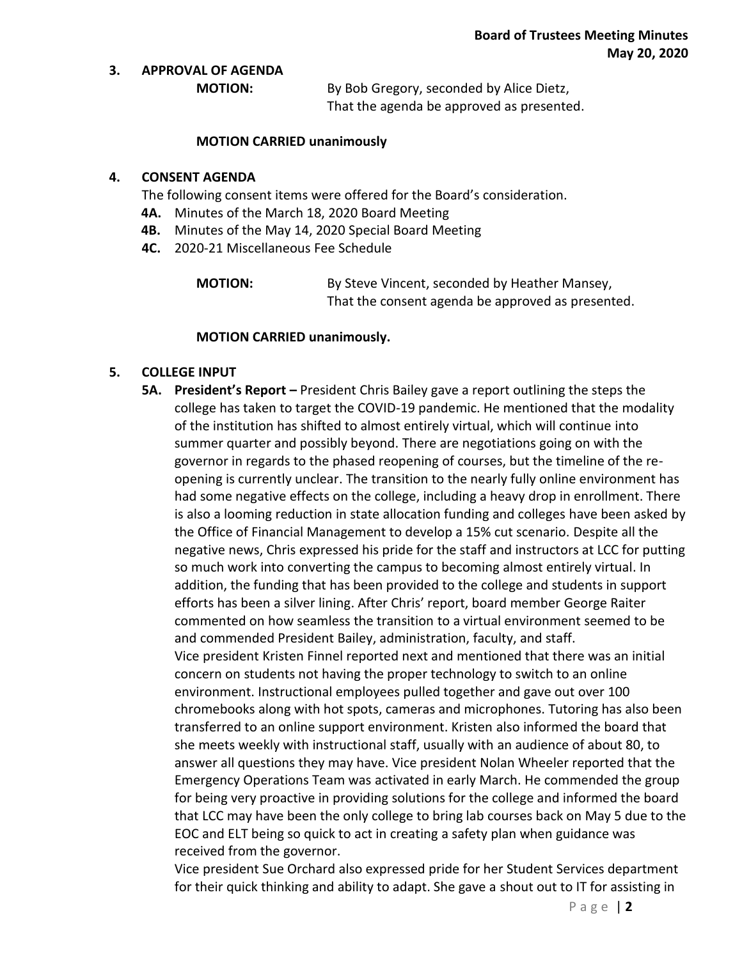#### **3. APPROVAL OF AGENDA**

**MOTION:** By Bob Gregory, seconded by Alice Dietz, That the agenda be approved as presented.

#### **MOTION CARRIED unanimously**

#### **4. CONSENT AGENDA**

The following consent items were offered for the Board's consideration.

- **4A.** Minutes of the March 18, 2020 Board Meeting
- **4B.** Minutes of the May 14, 2020 Special Board Meeting
- **4C.** 2020-21 Miscellaneous Fee Schedule

**MOTION:** By Steve Vincent, seconded by Heather Mansey, That the consent agenda be approved as presented.

#### **MOTION CARRIED unanimously.**

#### **5. COLLEGE INPUT**

**5A. President's Report –** President Chris Bailey gave a report outlining the steps the college has taken to target the COVID-19 pandemic. He mentioned that the modality of the institution has shifted to almost entirely virtual, which will continue into summer quarter and possibly beyond. There are negotiations going on with the governor in regards to the phased reopening of courses, but the timeline of the reopening is currently unclear. The transition to the nearly fully online environment has had some negative effects on the college, including a heavy drop in enrollment. There is also a looming reduction in state allocation funding and colleges have been asked by the Office of Financial Management to develop a 15% cut scenario. Despite all the negative news, Chris expressed his pride for the staff and instructors at LCC for putting so much work into converting the campus to becoming almost entirely virtual. In addition, the funding that has been provided to the college and students in support efforts has been a silver lining. After Chris' report, board member George Raiter commented on how seamless the transition to a virtual environment seemed to be and commended President Bailey, administration, faculty, and staff. Vice president Kristen Finnel reported next and mentioned that there was an initial concern on students not having the proper technology to switch to an online environment. Instructional employees pulled together and gave out over 100 chromebooks along with hot spots, cameras and microphones. Tutoring has also been transferred to an online support environment. Kristen also informed the board that she meets weekly with instructional staff, usually with an audience of about 80, to answer all questions they may have. Vice president Nolan Wheeler reported that the Emergency Operations Team was activated in early March. He commended the group for being very proactive in providing solutions for the college and informed the board that LCC may have been the only college to bring lab courses back on May 5 due to the EOC and ELT being so quick to act in creating a safety plan when guidance was received from the governor.

Vice president Sue Orchard also expressed pride for her Student Services department for their quick thinking and ability to adapt. She gave a shout out to IT for assisting in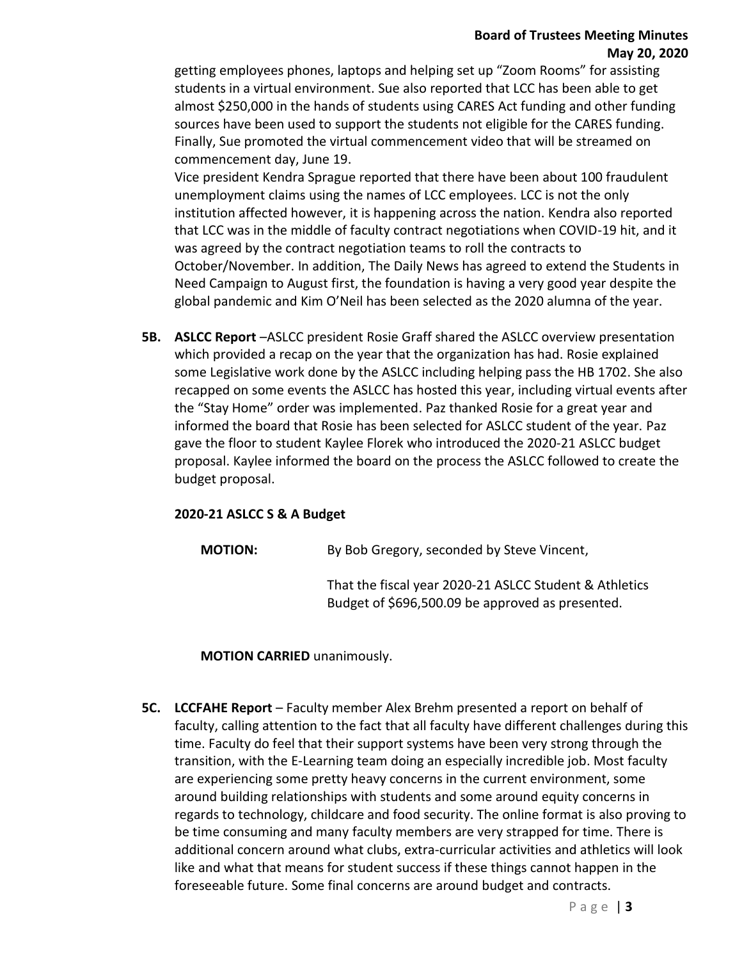# **Board of Trustees Meeting Minutes May 20, 2020**

getting employees phones, laptops and helping set up "Zoom Rooms" for assisting students in a virtual environment. Sue also reported that LCC has been able to get almost \$250,000 in the hands of students using CARES Act funding and other funding sources have been used to support the students not eligible for the CARES funding. Finally, Sue promoted the virtual commencement video that will be streamed on commencement day, June 19.

Vice president Kendra Sprague reported that there have been about 100 fraudulent unemployment claims using the names of LCC employees. LCC is not the only institution affected however, it is happening across the nation. Kendra also reported that LCC was in the middle of faculty contract negotiations when COVID-19 hit, and it was agreed by the contract negotiation teams to roll the contracts to October/November. In addition, The Daily News has agreed to extend the Students in Need Campaign to August first, the foundation is having a very good year despite the global pandemic and Kim O'Neil has been selected as the 2020 alumna of the year.

**5B. ASLCC Report** –ASLCC president Rosie Graff shared the ASLCC overview presentation which provided a recap on the year that the organization has had. Rosie explained some Legislative work done by the ASLCC including helping pass the HB 1702. She also recapped on some events the ASLCC has hosted this year, including virtual events after the "Stay Home" order was implemented. Paz thanked Rosie for a great year and informed the board that Rosie has been selected for ASLCC student of the year. Paz gave the floor to student Kaylee Florek who introduced the 2020-21 ASLCC budget proposal. Kaylee informed the board on the process the ASLCC followed to create the budget proposal.

#### **2020-21 ASLCC S & A Budget**

**MOTION:** By Bob Gregory, seconded by Steve Vincent,

That the fiscal year 2020-21 ASLCC Student & Athletics Budget of \$696,500.09 be approved as presented.

#### **MOTION CARRIED** unanimously.

**5C. LCCFAHE Report** – Faculty member Alex Brehm presented a report on behalf of faculty, calling attention to the fact that all faculty have different challenges during this time. Faculty do feel that their support systems have been very strong through the transition, with the E-Learning team doing an especially incredible job. Most faculty are experiencing some pretty heavy concerns in the current environment, some around building relationships with students and some around equity concerns in regards to technology, childcare and food security. The online format is also proving to be time consuming and many faculty members are very strapped for time. There is additional concern around what clubs, extra-curricular activities and athletics will look like and what that means for student success if these things cannot happen in the foreseeable future. Some final concerns are around budget and contracts.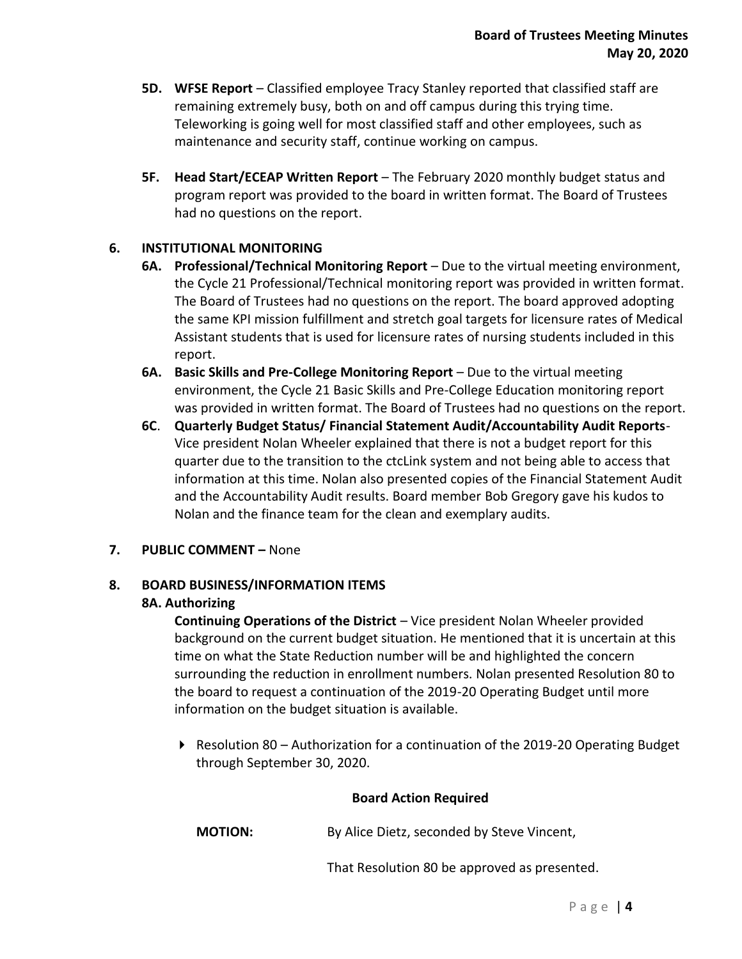- **5D. WFSE Report** Classified employee Tracy Stanley reported that classified staff are remaining extremely busy, both on and off campus during this trying time. Teleworking is going well for most classified staff and other employees, such as maintenance and security staff, continue working on campus.
- **5F. Head Start/ECEAP Written Report** The February 2020 monthly budget status and program report was provided to the board in written format. The Board of Trustees had no questions on the report.

# **6. INSTITUTIONAL MONITORING**

- **6A.** Professional/Technical Monitoring Report Due to the virtual meeting environment, the Cycle 21 Professional/Technical monitoring report was provided in written format. The Board of Trustees had no questions on the report. The board approved adopting the same KPI mission fulfillment and stretch goal targets for licensure rates of Medical Assistant students that is used for licensure rates of nursing students included in this report.
- **6A.** Basic Skills and Pre-College Monitoring Report Due to the virtual meeting environment, the Cycle 21 Basic Skills and Pre-College Education monitoring report was provided in written format. The Board of Trustees had no questions on the report.
- **6C**. **Quarterly Budget Status/ Financial Statement Audit/Accountability Audit Reports**-Vice president Nolan Wheeler explained that there is not a budget report for this quarter due to the transition to the ctcLink system and not being able to access that information at this time. Nolan also presented copies of the Financial Statement Audit and the Accountability Audit results. Board member Bob Gregory gave his kudos to Nolan and the finance team for the clean and exemplary audits.
- **7. PUBLIC COMMENT –** None

# **8. BOARD BUSINESS/INFORMATION ITEMS**

#### **8A. Authorizing**

**Continuing Operations of the District** – Vice president Nolan Wheeler provided background on the current budget situation. He mentioned that it is uncertain at this time on what the State Reduction number will be and highlighted the concern surrounding the reduction in enrollment numbers. Nolan presented Resolution 80 to the board to request a continuation of the 2019-20 Operating Budget until more information on the budget situation is available.

Resolution 80 – Authorization for a continuation of the 2019-20 Operating Budget through September 30, 2020.

#### **Board Action Required**

**MOTION:** By Alice Dietz, seconded by Steve Vincent,

That Resolution 80 be approved as presented.